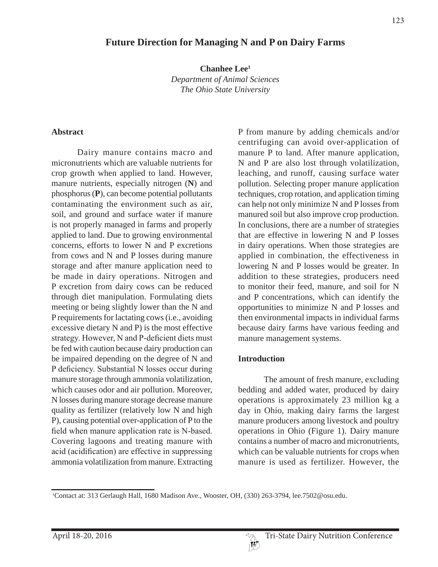## **Future Direction for Managing N and P on Dairy Farms**

**Chanhee Lee1** *Department of Animal Sciences The Ohio State University*

#### **Abstract**

Dairy manure contains macro and micronutrients which are valuable nutrients for crop growth when applied to land. However, manure nutrients, especially nitrogen (**N**) and phosphorus (**P**), can become potential pollutants contaminating the environment such as air, soil, and ground and surface water if manure is not properly managed in farms and properly applied to land. Due to growing environmental concerns, efforts to lower N and P excretions from cows and N and P losses during manure storage and after manure application need to be made in dairy operations. Nitrogen and P excretion from dairy cows can be reduced through diet manipulation. Formulating diets meeting or being slightly lower than the N and P requirements for lactating cows (i.e., avoiding excessive dietary N and P) is the most effective strategy. However, N and P-deficient diets must be fed with caution because dairy production can be impaired depending on the degree of N and P deficiency. Substantial N losses occur during manure storage through ammonia volatilization, which causes odor and air pollution. Moreover, N losses during manure storage decrease manure quality as fertilizer (relatively low N and high P), causing potential over-application of P to the field when manure application rate is N-based. Covering lagoons and treating manure with acid (acidification) are effective in suppressing ammonia volatilization from manure. Extracting P from manure by adding chemicals and/or centrifuging can avoid over-application of manure P to land. After manure application, N and P are also lost through volatilization, leaching, and runoff, causing surface water pollution. Selecting proper manure application techniques, crop rotation, and application timing can help not only minimize N and P losses from manured soil but also improve crop production. In conclusions, there are a number of strategies that are effective in lowering N and P losses in dairy operations. When those strategies are applied in combination, the effectiveness in lowering N and P losses would be greater. In addition to these strategies, producers need to monitor their feed, manure, and soil for N and P concentrations, which can identify the opportunities to minimize N and P losses and then environmental impacts in individual farms because dairy farms have various feeding and manure management systems.

#### **Introduction**

The amount of fresh manure, excluding bedding and added water, produced by dairy operations is approximately 23 million kg a day in Ohio, making dairy farms the largest manure producers among livestock and poultry operations in Ohio (Figure 1). Dairy manure contains a number of macro and micronutrients, which can be valuable nutrients for crops when manure is used as fertilizer. However, the

<sup>1</sup> Contact at: 313 Gerlaugh Hall, 1680 Madison Ave., Wooster, OH, (330) 263-3794, lee.7502@osu.edu.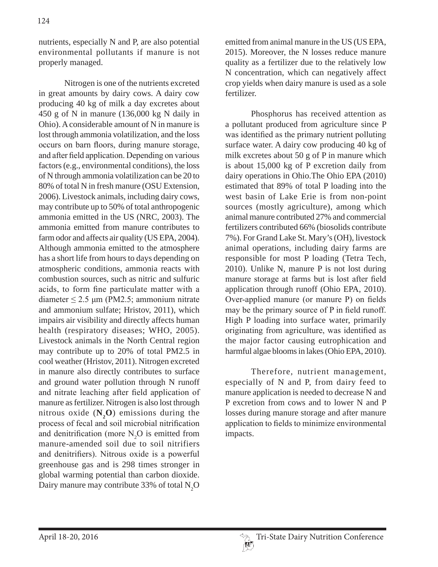nutrients, especially N and P, are also potential environmental pollutants if manure is not properly managed.

Nitrogen is one of the nutrients excreted in great amounts by dairy cows. A dairy cow producing 40 kg of milk a day excretes about 450 g of N in manure (136,000 kg N daily in Ohio). A considerable amount of N in manure is lost through ammonia volatilization, and the loss occurs on barn floors, during manure storage, and after field application. Depending on various factors (e.g., environmental conditions), the loss of N through ammonia volatilization can be 20 to 80% of total N in fresh manure (OSU Extension, 2006). Livestock animals, including dairy cows, may contribute up to 50% of total anthropogenic ammonia emitted in the US (NRC, 2003). The ammonia emitted from manure contributes to farm odor and affects air quality (US EPA, 2004). Although ammonia emitted to the atmosphere has a short life from hours to days depending on atmospheric conditions, ammonia reacts with combustion sources, such as nitric and sulfuric acids, to form fine particulate matter with a diameter  $\leq$  2.5 µm (PM2.5; ammonium nitrate and ammonium sulfate; Hristov, 2011), which impairs air visibility and directly affects human health (respiratory diseases; WHO, 2005). Livestock animals in the North Central region may contribute up to 20% of total PM2.5 in cool weather (Hristov, 2011). Nitrogen excreted in manure also directly contributes to surface and ground water pollution through N runoff and nitrate leaching after field application of manure as fertilizer. Nitrogen is also lost through nitrous oxide  $(N_2O)$  emissions during the process of fecal and soil microbial nitrification and denitrification (more  $N_2O$  is emitted from manure-amended soil due to soil nitrifiers and denitrifiers). Nitrous oxide is a powerful greenhouse gas and is 298 times stronger in global warming potential than carbon dioxide. Dairy manure may contribute 33% of total  $N_2O$ 

emitted from animal manure in the US (US EPA, 2015). Moreover, the N losses reduce manure quality as a fertilizer due to the relatively low N concentration, which can negatively affect crop yields when dairy manure is used as a sole fertilizer.

Phosphorus has received attention as a pollutant produced from agriculture since P was identified as the primary nutrient polluting surface water. A dairy cow producing 40 kg of milk excretes about 50 g of P in manure which is about 15,000 kg of P excretion daily from dairy operations in Ohio.The Ohio EPA (2010) estimated that 89% of total P loading into the west basin of Lake Erie is from non-point sources (mostly agriculture), among which animal manure contributed 27% and commercial fertilizers contributed 66% (biosolids contribute 7%). For Grand Lake St. Mary's (OH), livestock animal operations, including dairy farms are responsible for most P loading (Tetra Tech, 2010). Unlike N, manure P is not lost during manure storage at farms but is lost after field application through runoff (Ohio EPA, 2010). Over-applied manure (or manure P) on fields may be the primary source of  $P$  in field runoff. High P loading into surface water, primarily originating from agriculture, was identified as the major factor causing eutrophication and harmful algae blooms in lakes (Ohio EPA, 2010).

Therefore, nutrient management, especially of N and P, from dairy feed to manure application is needed to decrease N and P excretion from cows and to lower N and P losses during manure storage and after manure application to fields to minimize environmental impacts.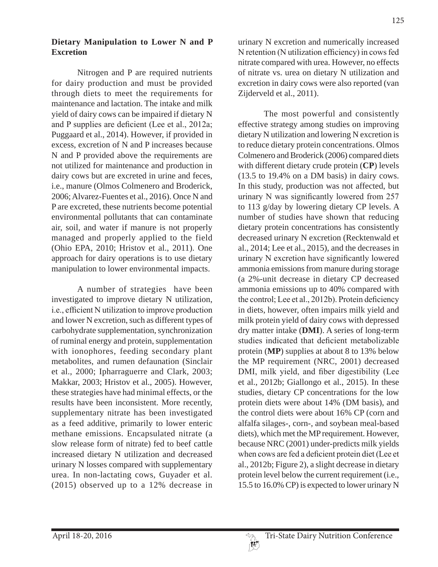#### **Dietary Manipulation to Lower N and P Excretion**

Nitrogen and P are required nutrients for dairy production and must be provided through diets to meet the requirements for maintenance and lactation. The intake and milk yield of dairy cows can be impaired if dietary N and P supplies are deficient (Lee et al.,  $2012a$ ; Puggaard et al., 2014). However, if provided in excess, excretion of N and P increases because N and P provided above the requirements are not utilized for maintenance and production in dairy cows but are excreted in urine and feces, i.e., manure (Olmos Colmenero and Broderick, 2006; Alvarez-Fuentes et al., 2016). Once N and P are excreted, these nutrients become potential environmental pollutants that can contaminate air, soil, and water if manure is not properly managed and properly applied to the field (Ohio EPA, 2010; Hristov et al., 2011). One approach for dairy operations is to use dietary manipulation to lower environmental impacts.

A number of strategies have been investigated to improve dietary N utilization, i.e., efficient N utilization to improve production and lower N excretion, such as different types of carbohydrate supplementation, synchronization of ruminal energy and protein, supplementation with ionophores, feeding secondary plant metabolites, and rumen defaunation (Sinclair et al., 2000; Ipharraguerre and Clark, 2003; Makkar, 2003; Hristov et al., 2005). However, these strategies have had minimal effects, or the results have been inconsistent. More recently, supplementary nitrate has been investigated as a feed additive, primarily to lower enteric methane emissions. Encapsulated nitrate (a slow release form of nitrate) fed to beef cattle increased dietary N utilization and decreased urinary N losses compared with supplementary urea. In non-lactating cows, Guyader et al. (2015) observed up to a 12% decrease in

urinary N excretion and numerically increased N retention (N utilization efficiency) in cows fed nitrate compared with urea. However, no effects of nitrate vs. urea on dietary N utilization and excretion in dairy cows were also reported (van Zijderveld et al., 2011).

The most powerful and consistently effective strategy among studies on improving dietary N utilization and lowering N excretion is to reduce dietary protein concentrations. Olmos Colmenero and Broderick (2006) compared diets with different dietary crude protein (**CP**) levels (13.5 to 19.4% on a DM basis) in dairy cows. In this study, production was not affected, but urinary N was significantly lowered from  $257$ to 113 g/day by lowering dietary CP levels. A number of studies have shown that reducing dietary protein concentrations has consistently decreased urinary N excretion (Recktenwald et al., 2014; Lee et al., 2015), and the decreases in urinary N excretion have significantly lowered ammonia emissions from manure during storage (a 2%-unit decrease in dietary CP decreased ammonia emissions up to 40% compared with the control; Lee et al.,  $2012b$ ). Protein deficiency in diets, however, often impairs milk yield and milk protein yield of dairy cows with depressed dry matter intake (**DMI**). A series of long-term studies indicated that deficient metabolizable protein (**MP**) supplies at about 8 to 13% below the MP requirement (NRC, 2001) decreased DMI, milk yield, and fiber digestibility (Lee et al., 2012b; Giallongo et al., 2015). In these studies, dietary CP concentrations for the low protein diets were about 14% (DM basis), and the control diets were about 16% CP (corn and alfalfa silages-, corn-, and soybean meal-based diets), which met the MP requirement. However, because NRC (2001) under-predicts milk yields when cows are fed a deficient protein diet (Lee et al., 2012b; Figure 2), a slight decrease in dietary protein level below the current requirement (i.e., 15.5 to 16.0% CP) is expected to lower urinary N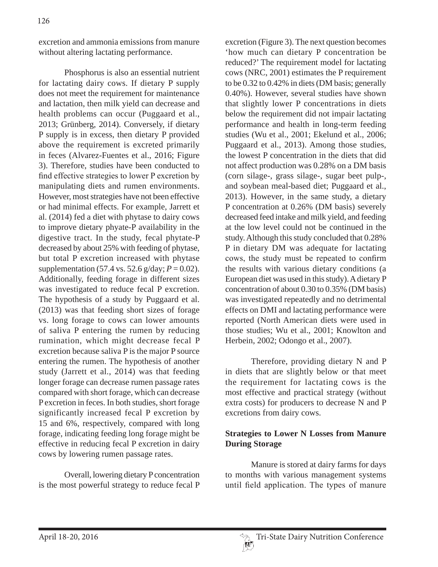excretion and ammonia emissions from manure without altering lactating performance.

Phosphorus is also an essential nutrient for lactating dairy cows. If dietary P supply does not meet the requirement for maintenance and lactation, then milk yield can decrease and health problems can occur (Puggaard et al., 2013; Grünberg, 2014). Conversely, if dietary P supply is in excess, then dietary P provided above the requirement is excreted primarily in feces (Alvarez-Fuentes et al., 2016; Figure 3). Therefore, studies have been conducted to find effective strategies to lower P excretion by manipulating diets and rumen environments. However, most strategies have not been effective or had minimal effects. For example, Jarrett et al. (2014) fed a diet with phytase to dairy cows to improve dietary phyate-P availability in the digestive tract. In the study, fecal phytate-P decreased by about 25% with feeding of phytase, but total P excretion increased with phytase supplementation (57.4 vs. 52.6 g/day;  $P = 0.02$ ). Additionally, feeding forage in different sizes was investigated to reduce fecal P excretion. The hypothesis of a study by Puggaard et al. (2013) was that feeding short sizes of forage vs. long forage to cows can lower amounts of saliva P entering the rumen by reducing rumination, which might decrease fecal P excretion because saliva P is the major P source entering the rumen. The hypothesis of another study (Jarrett et al., 2014) was that feeding longer forage can decrease rumen passage rates compared with short forage, which can decrease P excretion in feces. In both studies, short forage significantly increased fecal P excretion by 15 and 6%, respectively, compared with long forage, indicating feeding long forage might be effective in reducing fecal P excretion in dairy cows by lowering rumen passage rates.

Overall, lowering dietary P concentration is the most powerful strategy to reduce fecal P excretion (Figure 3). The next question becomes 'how much can dietary P concentration be reduced?' The requirement model for lactating cows (NRC, 2001) estimates the P requirement to be 0.32 to 0.42% in diets (DM basis; generally 0.40%). However, several studies have shown that slightly lower P concentrations in diets below the requirement did not impair lactating performance and health in long-term feeding studies (Wu et al., 2001; Ekelund et al., 2006; Puggaard et al., 2013). Among those studies, the lowest P concentration in the diets that did not affect production was 0.28% on a DM basis (corn silage-, grass silage-, sugar beet pulp-, and soybean meal-based diet; Puggaard et al., 2013). However, in the same study, a dietary P concentration at 0.26% (DM basis) severely decreased feed intake and milk yield, and feeding at the low level could not be continued in the study. Although this study concluded that 0.28% P in dietary DM was adequate for lactating cows, the study must be repeated to confirm the results with various dietary conditions (a European diet was used in this study). A dietary P concentration of about 0.30 to 0.35% (DM basis) was investigated repeatedly and no detrimental effects on DMI and lactating performance were reported (North American diets were used in those studies; Wu et al., 2001; Knowlton and Herbein, 2002; Odongo et al., 2007).

Therefore, providing dietary N and P in diets that are slightly below or that meet the requirement for lactating cows is the most effective and practical strategy (without extra costs) for producers to decrease N and P excretions from dairy cows.

### **Strategies to Lower N Losses from Manure During Storage**

Manure is stored at dairy farms for days to months with various management systems until field application. The types of manure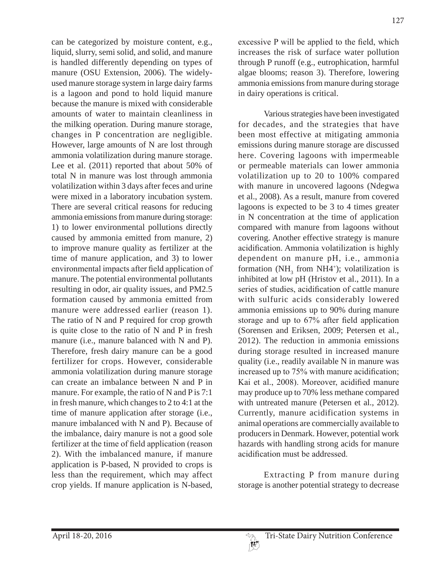can be categorized by moisture content, e.g., liquid, slurry, semi solid, and solid, and manure is handled differently depending on types of manure (OSU Extension, 2006). The widelyused manure storage system in large dairy farms is a lagoon and pond to hold liquid manure because the manure is mixed with considerable amounts of water to maintain cleanliness in the milking operation. During manure storage, changes in P concentration are negligible. However, large amounts of N are lost through ammonia volatilization during manure storage. Lee et al. (2011) reported that about 50% of total N in manure was lost through ammonia volatilization within 3 days after feces and urine were mixed in a laboratory incubation system. There are several critical reasons for reducing ammonia emissions from manure during storage: 1) to lower environmental pollutions directly caused by ammonia emitted from manure, 2) to improve manure quality as fertilizer at the time of manure application, and 3) to lower environmental impacts after field application of manure. The potential environmental pollutants resulting in odor, air quality issues, and PM2.5 formation caused by ammonia emitted from manure were addressed earlier (reason 1). The ratio of N and P required for crop growth is quite close to the ratio of N and P in fresh manure (i.e., manure balanced with N and P). Therefore, fresh dairy manure can be a good fertilizer for crops. However, considerable ammonia volatilization during manure storage can create an imbalance between N and P in manure. For example, the ratio of N and P is 7:1 in fresh manure, which changes to 2 to 4:1 at the time of manure application after storage (i.e., manure imbalanced with N and P). Because of the imbalance, dairy manure is not a good sole fertilizer at the time of field application (reason 2). With the imbalanced manure, if manure application is P-based, N provided to crops is less than the requirement, which may affect crop yields. If manure application is N-based,

127

excessive P will be applied to the field, which increases the risk of surface water pollution through P runoff (e.g., eutrophication, harmful algae blooms; reason 3). Therefore, lowering ammonia emissions from manure during storage in dairy operations is critical.

Various strategies have been investigated for decades, and the strategies that have been most effective at mitigating ammonia emissions during manure storage are discussed here. Covering lagoons with impermeable or permeable materials can lower ammonia volatilization up to 20 to 100% compared with manure in uncovered lagoons (Ndegwa et al., 2008). As a result, manure from covered lagoons is expected to be 3 to 4 times greater in N concentration at the time of application compared with manure from lagoons without covering. Another effective strategy is manure acidification. Ammonia volatilization is highly dependent on manure pH, i.e., ammonia formation  $(NH_3$  from  $NH4^+$ ); volatilization is inhibited at low pH (Hristov et al., 2011). In a series of studies, acidification of cattle manure with sulfuric acids considerably lowered ammonia emissions up to 90% during manure storage and up to  $67\%$  after field application (Sorensen and Eriksen, 2009; Petersen et al., 2012). The reduction in ammonia emissions during storage resulted in increased manure quality (i.e., readily available N in manure was increased up to 75% with manure acidification; Kai et al., 2008). Moreover, acidified manure may produce up to 70% less methane compared with untreated manure (Petersen et al., 2012). Currently, manure acidification systems in animal operations are commercially available to producers in Denmark. However, potential work hazards with handling strong acids for manure acidification must be addressed

Extracting P from manure during storage is another potential strategy to decrease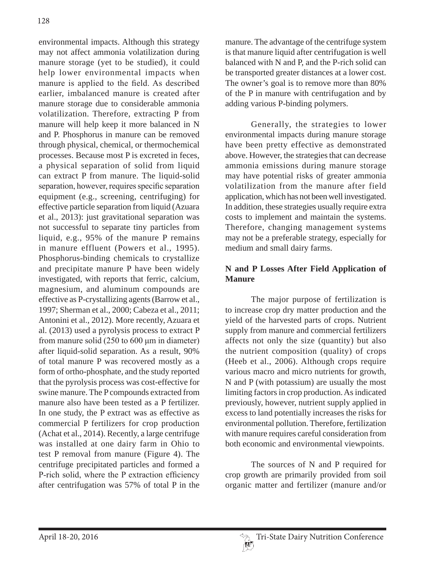environmental impacts. Although this strategy may not affect ammonia volatilization during manure storage (yet to be studied), it could help lower environmental impacts when manure is applied to the field. As described earlier, imbalanced manure is created after manure storage due to considerable ammonia volatilization. Therefore, extracting P from manure will help keep it more balanced in N and P. Phosphorus in manure can be removed through physical, chemical, or thermochemical processes. Because most P is excreted in feces, a physical separation of solid from liquid can extract P from manure. The liquid-solid separation, however, requires specific separation equipment (e.g., screening, centrifuging) for effective particle separation from liquid (Azuara et al., 2013): just gravitational separation was not successful to separate tiny particles from liquid, e.g., 95% of the manure P remains in manure effluent (Powers et al., 1995). Phosphorus-binding chemicals to crystallize and precipitate manure P have been widely investigated, with reports that ferric, calcium, magnesium, and aluminum compounds are effective as P-crystallizing agents (Barrow et al., 1997; Sherman et al., 2000; Cabeza et al., 2011; Antonini et al., 2012). More recently, Azuara et al. (2013) used a pyrolysis process to extract P from manure solid  $(250 \text{ to } 600 \mu\text{m})$  in diameter) after liquid-solid separation. As a result, 90% of total manure P was recovered mostly as a form of ortho-phosphate, and the study reported that the pyrolysis process was cost-effective for swine manure. The P compounds extracted from manure also have been tested as a P fertilizer. In one study, the P extract was as effective as commercial P fertilizers for crop production (Achat et al., 2014). Recently, a large centrifuge was installed at one dairy farm in Ohio to test P removal from manure (Figure 4). The centrifuge precipitated particles and formed a P-rich solid, where the P extraction efficiency after centrifugation was 57% of total P in the

manure. The advantage of the centrifuge system is that manure liquid after centrifugation is well balanced with N and P, and the P-rich solid can be transported greater distances at a lower cost. The owner's goal is to remove more than 80% of the P in manure with centrifugation and by adding various P-binding polymers.

Generally, the strategies to lower environmental impacts during manure storage have been pretty effective as demonstrated above. However, the strategies that can decrease ammonia emissions during manure storage may have potential risks of greater ammonia volatilization from the manure after field application, which has not been well investigated. In addition, these strategies usually require extra costs to implement and maintain the systems. Therefore, changing management systems may not be a preferable strategy, especially for medium and small dairy farms.

# **N and P Losses After Field Application of Manure**

The major purpose of fertilization is to increase crop dry matter production and the yield of the harvested parts of crops. Nutrient supply from manure and commercial fertilizers affects not only the size (quantity) but also the nutrient composition (quality) of crops (Heeb et al., 2006). Although crops require various macro and micro nutrients for growth, N and P (with potassium) are usually the most limiting factors in crop production. As indicated previously, however, nutrient supply applied in excess to land potentially increases the risks for environmental pollution. Therefore, fertilization with manure requires careful consideration from both economic and environmental viewpoints.

The sources of N and P required for crop growth are primarily provided from soil organic matter and fertilizer (manure and/or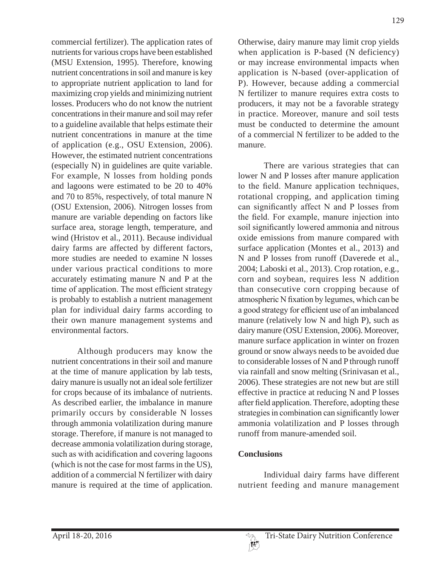commercial fertilizer). The application rates of nutrients for various crops have been established (MSU Extension, 1995). Therefore, knowing nutrient concentrations in soil and manure is key to appropriate nutrient application to land for maximizing crop yields and minimizing nutrient losses. Producers who do not know the nutrient concentrations in their manure and soil may refer to a guideline available that helps estimate their nutrient concentrations in manure at the time of application (e.g., OSU Extension, 2006). However, the estimated nutrient concentrations (especially N) in guidelines are quite variable. For example, N losses from holding ponds and lagoons were estimated to be 20 to 40% and 70 to 85%, respectively, of total manure N (OSU Extension, 2006). Nitrogen losses from manure are variable depending on factors like surface area, storage length, temperature, and wind (Hristov et al., 2011). Because individual dairy farms are affected by different factors, more studies are needed to examine N losses under various practical conditions to more accurately estimating manure N and P at the time of application. The most efficient strategy is probably to establish a nutrient management plan for individual dairy farms according to their own manure management systems and environmental factors.

Although producers may know the nutrient concentrations in their soil and manure at the time of manure application by lab tests, dairy manure is usually not an ideal sole fertilizer for crops because of its imbalance of nutrients. As described earlier, the imbalance in manure primarily occurs by considerable N losses through ammonia volatilization during manure storage. Therefore, if manure is not managed to decrease ammonia volatilization during storage, such as with acidification and covering lagoons (which is not the case for most farms in the US), addition of a commercial N fertilizer with dairy manure is required at the time of application.

Otherwise, dairy manure may limit crop yields when application is P-based (N deficiency) or may increase environmental impacts when application is N-based (over-application of P). However, because adding a commercial N fertilizer to manure requires extra costs to producers, it may not be a favorable strategy in practice. Moreover, manure and soil tests must be conducted to determine the amount of a commercial N fertilizer to be added to the manure.

There are various strategies that can lower N and P losses after manure application to the field. Manure application techniques, rotational cropping, and application timing can significantly affect N and P losses from the field. For example, manure injection into soil significantly lowered ammonia and nitrous oxide emissions from manure compared with surface application (Montes et al., 2013) and N and P losses from runoff (Daverede et al., 2004; Laboski et al., 2013). Crop rotation, e.g., corn and soybean, requires less N addition than consecutive corn cropping because of atmospheric N fixation by legumes, which can be a good strategy for efficient use of an imbalanced manure (relatively low N and high P), such as dairy manure (OSU Extension, 2006). Moreover, manure surface application in winter on frozen ground or snow always needs to be avoided due to considerable losses of N and P through runoff via rainfall and snow melting (Srinivasan et al., 2006). These strategies are not new but are still effective in practice at reducing N and P losses after field application. Therefore, adopting these strategies in combination can significantly lower ammonia volatilization and P losses through runoff from manure-amended soil.

### **Conclusions**

Individual dairy farms have different nutrient feeding and manure management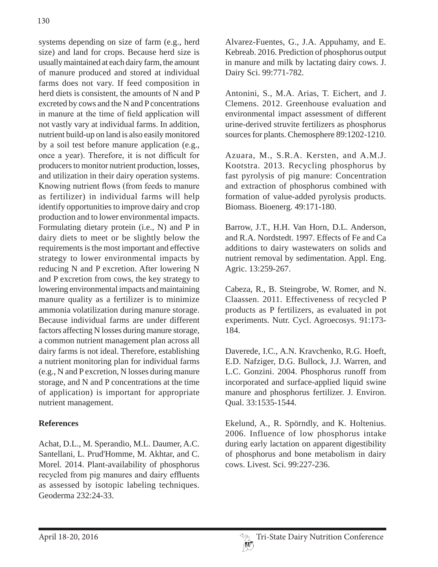systems depending on size of farm (e.g., herd size) and land for crops. Because herd size is usually maintained at each dairy farm, the amount of manure produced and stored at individual farms does not vary. If feed composition in herd diets is consistent, the amounts of N and P excreted by cows and the N and P concentrations in manure at the time of field application will not vastly vary at individual farms. In addition, nutrient build-up on land is also easily monitored by a soil test before manure application (e.g., once a year). Therefore, it is not difficult for producers to monitor nutrient production, losses, and utilization in their dairy operation systems. Knowing nutrient flows (from feeds to manure as fertilizer) in individual farms will help identify opportunities to improve dairy and crop production and to lower environmental impacts. Formulating dietary protein (i.e., N) and P in dairy diets to meet or be slightly below the requirements is the most important and effective strategy to lower environmental impacts by reducing N and P excretion. After lowering N and P excretion from cows, the key strategy to lowering environmental impacts and maintaining manure quality as a fertilizer is to minimize ammonia volatilization during manure storage. Because individual farms are under different factors affecting N losses during manure storage, a common nutrient management plan across all dairy farms is not ideal. Therefore, establishing a nutrient monitoring plan for individual farms (e.g., N and P excretion, N losses during manure storage, and N and P concentrations at the time of application) is important for appropriate nutrient management.

# **References**

Achat, D.L., M. Sperandio, M.L. Daumer, A.C. Santellani, L. Prud'Homme, M. Akhtar, and C. Morel. 2014. Plant-availability of phosphorus recycled from pig manures and dairy effluents as assessed by isotopic labeling techniques. Geoderma 232:24-33.

Alvarez-Fuentes, G., J.A. Appuhamy, and E. Kebreab. 2016. Prediction of phosphorus output in manure and milk by lactating dairy cows. J. Dairy Sci. 99:771-782.

Antonini, S., M.A. Arias, T. Eichert, and J. Clemens. 2012. Greenhouse evaluation and environmental impact assessment of different urine-derived struvite fertilizers as phosphorus sources for plants. Chemosphere 89:1202-1210.

Azuara, M., S.R.A. Kersten, and A.M.J. Kootstra. 2013. Recycling phosphorus by fast pyrolysis of pig manure: Concentration and extraction of phosphorus combined with formation of value-added pyrolysis products. Biomass. Bioenerg. 49:171-180.

Barrow, J.T., H.H. Van Horn, D.L. Anderson, and R.A. Nordstedt. 1997. Effects of Fe and Ca additions to dairy wastewaters on solids and nutrient removal by sedimentation. Appl. Eng. Agric. 13:259-267.

Cabeza, R., B. Steingrobe, W. Romer, and N. Claassen. 2011. Effectiveness of recycled P products as P fertilizers, as evaluated in pot experiments. Nutr. Cycl. Agroecosys. 91:173- 184.

Daverede, I.C., A.N. Kravchenko, R.G. Hoeft, E.D. Nafziger, D.G. Bullock, J.J. Warren, and L.C. Gonzini. 2004. Phosphorus runoff from incorporated and surface-applied liquid swine manure and phosphorus fertilizer. J. Environ. Qual. 33:1535-1544.

Ekelund, A., R. Spörndly, and K. Holtenius. 2006. Influence of low phosphorus intake during early lactation on apparent digestibility of phosphorus and bone metabolism in dairy cows. Livest. Sci. 99:227-236.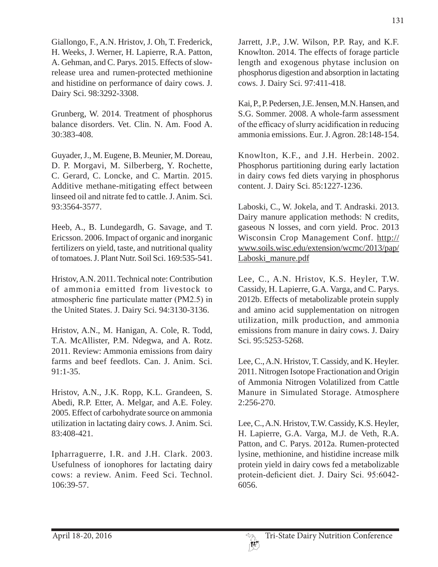Giallongo, F., A.N. Hristov, J. Oh, T. Frederick, H. Weeks, J. Werner, H. Lapierre, R.A. Patton, A. Gehman, and C. Parys. 2015. Effects of slowrelease urea and rumen-protected methionine and histidine on performance of dairy cows. J. Dairy Sci. 98:3292-3308.

Grunberg, W. 2014. Treatment of phosphorus balance disorders. Vet. Clin. N. Am. Food A. 30:383-408.

Guyader, J., M. Eugene, B. Meunier, M. Doreau, D. P. Morgavi, M. Silberberg, Y. Rochette, C. Gerard, C. Loncke, and C. Martin. 2015. Additive methane-mitigating effect between linseed oil and nitrate fed to cattle. J. Anim. Sci. 93:3564-3577.

Heeb, A., B. Lundegardh, G. Savage, and T. Ericsson. 2006. Impact of organic and inorganic fertilizers on yield, taste, and nutritional quality of tomatoes. J. Plant Nutr. Soil Sci. 169:535-541.

Hristov, A.N. 2011. Technical note: Contribution of ammonia emitted from livestock to atmospheric fine particulate matter (PM2.5) in the United States. J. Dairy Sci. 94:3130-3136.

Hristov, A.N., M. Hanigan, A. Cole, R. Todd, T.A. McAllister, P.M. Ndegwa, and A. Rotz. 2011. Review: Ammonia emissions from dairy farms and beef feedlots. Can. J. Anim. Sci.  $91:1-35$ .

Hristov, A.N., J.K. Ropp, K.L. Grandeen, S. Abedi, R.P. Etter, A. Melgar, and A.E. Foley. 2005. Effect of carbohydrate source on ammonia utilization in lactating dairy cows. J. Anim. Sci. 83:408-421.

Ipharraguerre, I.R. and J.H. Clark. 2003. Usefulness of ionophores for lactating dairy cows: a review. Anim. Feed Sci. Technol. 106:39-57.

Jarrett, J.P., J.W. Wilson, P.P. Ray, and K.F. Knowlton. 2014. The effects of forage particle length and exogenous phytase inclusion on phosphorus digestion and absorption in lactating cows. J. Dairy Sci. 97:411-418.

Kai, P., P. Pedersen, J.E. Jensen, M.N. Hansen, and S.G. Sommer. 2008. A whole-farm assessment of the efficacy of slurry acidification in reducing ammonia emissions. Eur. J. Agron. 28:148-154.

Knowlton, K.F., and J.H. Herbein. 2002. Phosphorus partitioning during early lactation in dairy cows fed diets varying in phosphorus content. J. Dairy Sci. 85:1227-1236.

Laboski, C., W. Jokela, and T. Andraski. 2013. Dairy manure application methods: N credits, gaseous N losses, and corn yield. Proc. 2013 Wisconsin Crop Management Conf. http:// www.soils.wisc.edu/extension/wcmc/2013/pap/ Laboski\_manure.pdf

Lee, C., A.N. Hristov, K.S. Heyler, T.W. Cassidy, H. Lapierre, G.A. Varga, and C. Parys. 2012b. Effects of metabolizable protein supply and amino acid supplementation on nitrogen utilization, milk production, and ammonia emissions from manure in dairy cows. J. Dairy Sci. 95:5253-5268.

Lee, C., A.N. Hristov, T. Cassidy, and K. Heyler. 2011. Nitrogen Isotope Fractionation and Origin of Ammonia Nitrogen Volatilized from Cattle Manure in Simulated Storage. Atmosphere 2:256-270.

Lee, C., A.N. Hristov, T.W. Cassidy, K.S. Heyler, H. Lapierre, G.A. Varga, M.J. de Veth, R.A. Patton, and C. Parys. 2012a. Rumen-protected lysine, methionine, and histidine increase milk protein yield in dairy cows fed a metabolizable protein-deficient diet. J. Dairy Sci. 95:6042-6056.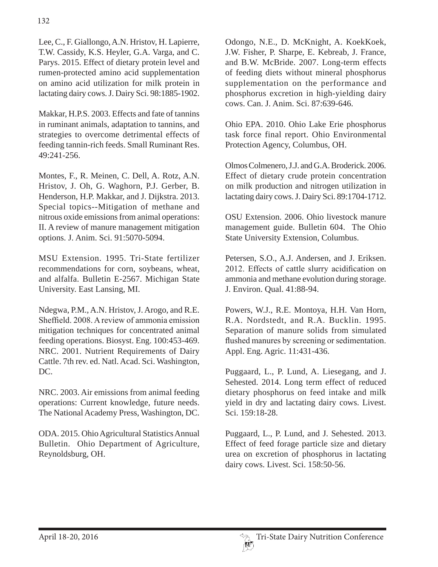Lee, C., F. Giallongo, A.N. Hristov, H. Lapierre, T.W. Cassidy, K.S. Heyler, G.A. Varga, and C. Parys. 2015. Effect of dietary protein level and rumen-protected amino acid supplementation on amino acid utilization for milk protein in lactating dairy cows. J. Dairy Sci. 98:1885-1902.

Makkar, H.P.S. 2003. Effects and fate of tannins in ruminant animals, adaptation to tannins, and strategies to overcome detrimental effects of feeding tannin-rich feeds. Small Ruminant Res. 49:241-256.

Montes, F., R. Meinen, C. Dell, A. Rotz, A.N. Hristov, J. Oh, G. Waghorn, P.J. Gerber, B. Henderson, H.P. Makkar, and J. Dijkstra. 2013. Special topics--Mitigation of methane and nitrous oxide emissions from animal operations: II. A review of manure management mitigation options. J. Anim. Sci. 91:5070-5094.

MSU Extension. 1995. Tri-State fertilizer recommendations for corn, soybeans, wheat, and alfalfa. Bulletin E-2567. Michigan State University. East Lansing, MI.

Ndegwa, P.M., A.N. Hristov, J. Arogo, and R.E. Sheffield, 2008. A review of ammonia emission mitigation techniques for concentrated animal feeding operations. Biosyst. Eng. 100:453-469. NRC. 2001. Nutrient Requirements of Dairy Cattle. 7th rev. ed. Natl. Acad. Sci. Washington, DC.

NRC. 2003. Air emissions from animal feeding operations: Current knowledge, future needs. The National Academy Press, Washington, DC.

ODA. 2015. Ohio Agricultural Statistics Annual Bulletin. Ohio Department of Agriculture, Reynoldsburg, OH.

Odongo, N.E., D. McKnight, A. KoekKoek, J.W. Fisher, P. Sharpe, E. Kebreab, J. France, and B.W. McBride. 2007. Long-term effects of feeding diets without mineral phosphorus supplementation on the performance and phosphorus excretion in high-yielding dairy cows. Can. J. Anim. Sci. 87:639-646.

Ohio EPA. 2010. Ohio Lake Erie phosphorus task force final report. Ohio Environmental Protection Agency, Columbus, OH.

Olmos Colmenero, J.J. and G.A. Broderick. 2006. Effect of dietary crude protein concentration on milk production and nitrogen utilization in lactating dairy cows. J. Dairy Sci. 89:1704-1712.

OSU Extension. 2006. Ohio livestock manure management guide. Bulletin 604. The Ohio State University Extension, Columbus.

Petersen, S.O., A.J. Andersen, and J. Eriksen. 2012. Effects of cattle slurry acidification on ammonia and methane evolution during storage. J. Environ. Qual. 41:88-94.

Powers, W.J., R.E. Montoya, H.H. Van Horn, R.A. Nordstedt, and R.A. Bucklin. 1995. Separation of manure solids from simulated flushed manures by screening or sedimentation. Appl. Eng. Agric. 11:431-436.

Puggaard, L., P. Lund, A. Liesegang, and J. Sehested. 2014. Long term effect of reduced dietary phosphorus on feed intake and milk yield in dry and lactating dairy cows. Livest. Sci. 159:18-28.

Puggaard, L., P. Lund, and J. Sehested. 2013. Effect of feed forage particle size and dietary urea on excretion of phosphorus in lactating dairy cows. Livest. Sci. 158:50-56.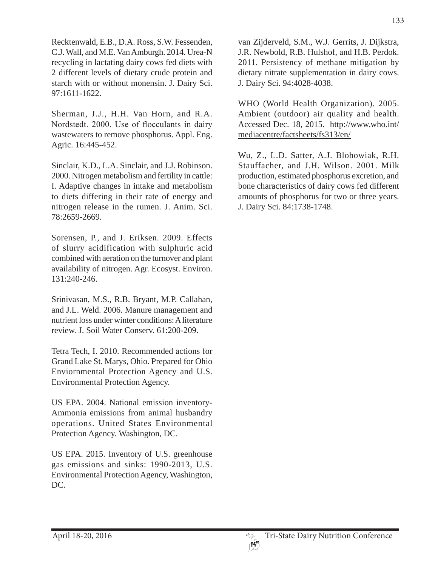Recktenwald, E.B., D.A. Ross, S.W. Fessenden, C.J. Wall, and M.E. Van Amburgh. 2014. Urea-N recycling in lactating dairy cows fed diets with 2 different levels of dietary crude protein and starch with or without monensin. J. Dairy Sci. 97:1611-1622.

Sherman, J.J., H.H. Van Horn, and R.A. Nordstedt. 2000. Use of flocculants in dairy wastewaters to remove phosphorus. Appl. Eng. Agric. 16:445-452.

Sinclair, K.D., L.A. Sinclair, and J.J. Robinson. 2000. Nitrogen metabolism and fertility in cattle: I. Adaptive changes in intake and metabolism to diets differing in their rate of energy and nitrogen release in the rumen. J. Anim. Sci. 78:2659-2669.

Sorensen, P., and J. Eriksen. 2009. Effects of slurry acidification with sulphuric acid combined with aeration on the turnover and plant availability of nitrogen. Agr. Ecosyst. Environ. 131:240-246.

Srinivasan, M.S., R.B. Bryant, M.P. Callahan, and J.L. Weld. 2006. Manure management and nutrient loss under winter conditions: A literature review. J. Soil Water Conserv. 61:200-209.

Tetra Tech, I. 2010. Recommended actions for Grand Lake St. Marys, Ohio. Prepared for Ohio Enviornmental Protection Agency and U.S. Environmental Protection Agency.

US EPA. 2004. National emission inventory-Ammonia emissions from animal husbandry operations. United States Environmental Protection Agency. Washington, DC.

US EPA. 2015. Inventory of U.S. greenhouse gas emissions and sinks: 1990-2013, U.S. Environmental Protection Agency, Washington, DC.

van Zijderveld, S.M., W.J. Gerrits, J. Dijkstra, J.R. Newbold, R.B. Hulshof, and H.B. Perdok. 2011. Persistency of methane mitigation by dietary nitrate supplementation in dairy cows. J. Dairy Sci. 94:4028-4038.

WHO (World Health Organization). 2005. Ambient (outdoor) air quality and health. Accessed Dec. 18, 2015. http://www.who.int/ mediacentre/factsheets/fs313/en/

Wu, Z., L.D. Satter, A.J. Blohowiak, R.H. Stauffacher, and J.H. Wilson. 2001. Milk production, estimated phosphorus excretion, and bone characteristics of dairy cows fed different amounts of phosphorus for two or three years. J. Dairy Sci. 84:1738-1748.

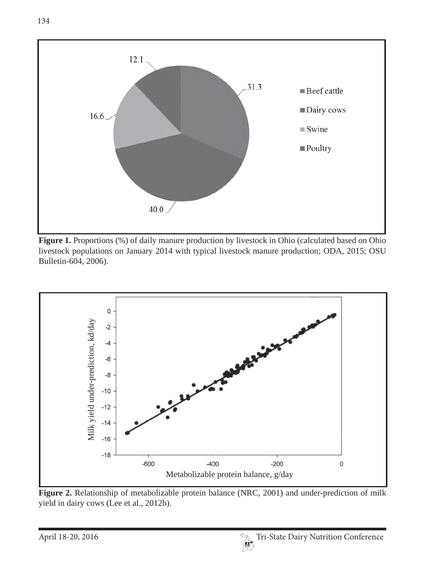

Figure 1. Proportions (%) of daily manure production by livestock in Ohio (calculated based on Ohio livestock populations on January 2014 with typical livestock manure production; ODA, 2015; OSU Bulletin-604, 2006).



Figure 2. Relationship of metabolizable protein balance (NRC, 2001) and under-prediction of milk